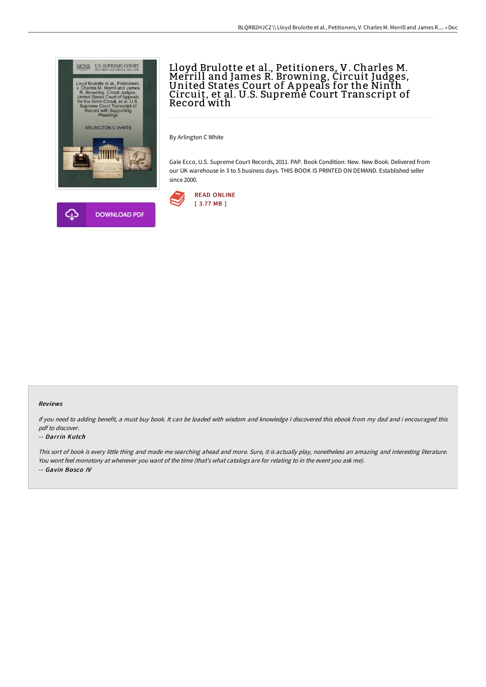

## Lloyd Brulotte et al., Petitioners, V. Charles M.<br>Merrill and James R. Browning, Circuit Judges,<br>United States Court of Appeals for the Ninth Circuit, et al. U.S. Supreme Court Transcript of Record with

By Arlington C White

Gale Ecco, U.S. Supreme Court Records, 2011. PAP. Book Condition: New. New Book. Delivered from our UK warehouse in 3 to 5 business days. THIS BOOK IS PRINTED ON DEMAND. Established seller since 2000.



## Reviews

If you need to adding benefit, <sup>a</sup> must buy book. It can be loaded with wisdom and knowledge <sup>I</sup> discovered this ebook from my dad and i encouraged this pdf to discover.

## -- Darrin Kutch

This sort of book is every little thing and made me searching ahead and more. Sure, it is actually play, nonetheless an amazing and interesting literature. You wont feel monotony at whenever you want of the time (that's what catalogs are for relating to in the event you ask me). -- Gavin Bosco IV